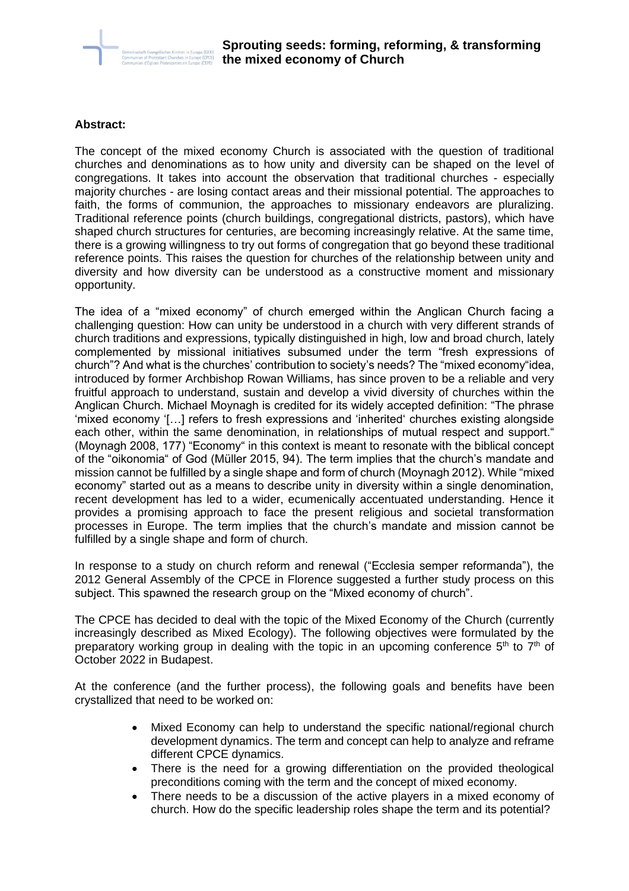

## **Abstract:**

The concept of the mixed economy Church is associated with the question of traditional churches and denominations as to how unity and diversity can be shaped on the level of congregations. It takes into account the observation that traditional churches - especially majority churches - are losing contact areas and their missional potential. The approaches to faith, the forms of communion, the approaches to missionary endeavors are pluralizing. Traditional reference points (church buildings, congregational districts, pastors), which have shaped church structures for centuries, are becoming increasingly relative. At the same time, there is a growing willingness to try out forms of congregation that go beyond these traditional reference points. This raises the question for churches of the relationship between unity and diversity and how diversity can be understood as a constructive moment and missionary opportunity.

The idea of a "mixed economy" of church emerged within the Anglican Church facing a challenging question: How can unity be understood in a church with very different strands of church traditions and expressions, typically distinguished in high, low and broad church, lately complemented by missional initiatives subsumed under the term "fresh expressions of church"? And what is the churches' contribution to society's needs? The "mixed economy"idea, introduced by former Archbishop Rowan Williams, has since proven to be a reliable and very fruitful approach to understand, sustain and develop a vivid diversity of churches within the Anglican Church. Michael Moynagh is credited for its widely accepted definition: "The phrase 'mixed economy '[…] refers to fresh expressions and 'inherited' churches existing alongside each other, within the same denomination, in relationships of mutual respect and support." (Moynagh 2008, 177) "Economy" in this context is meant to resonate with the biblical concept of the "oikonomia" of God (Müller 2015, 94). The term implies that the church's mandate and mission cannot be fulfilled by a single shape and form of church (Moynagh 2012). While "mixed economy" started out as a means to describe unity in diversity within a single denomination, recent development has led to a wider, ecumenically accentuated understanding. Hence it provides a promising approach to face the present religious and societal transformation processes in Europe. The term implies that the church's mandate and mission cannot be fulfilled by a single shape and form of church.

In response to a study on church reform and renewal ("Ecclesia semper reformanda"), the 2012 General Assembly of the CPCE in Florence suggested a further study process on this subject. This spawned the research group on the "Mixed economy of church".

The CPCE has decided to deal with the topic of the Mixed Economy of the Church (currently increasingly described as Mixed Ecology). The following objectives were formulated by the preparatory working group in dealing with the topic in an upcoming conference  $5<sup>th</sup>$  to  $7<sup>th</sup>$  of October 2022 in Budapest.

At the conference (and the further process), the following goals and benefits have been crystallized that need to be worked on:

- Mixed Economy can help to understand the specific national/regional church development dynamics. The term and concept can help to analyze and reframe different CPCE dynamics.
- There is the need for a growing differentiation on the provided theological preconditions coming with the term and the concept of mixed economy.
- There needs to be a discussion of the active players in a mixed economy of church. How do the specific leadership roles shape the term and its potential?